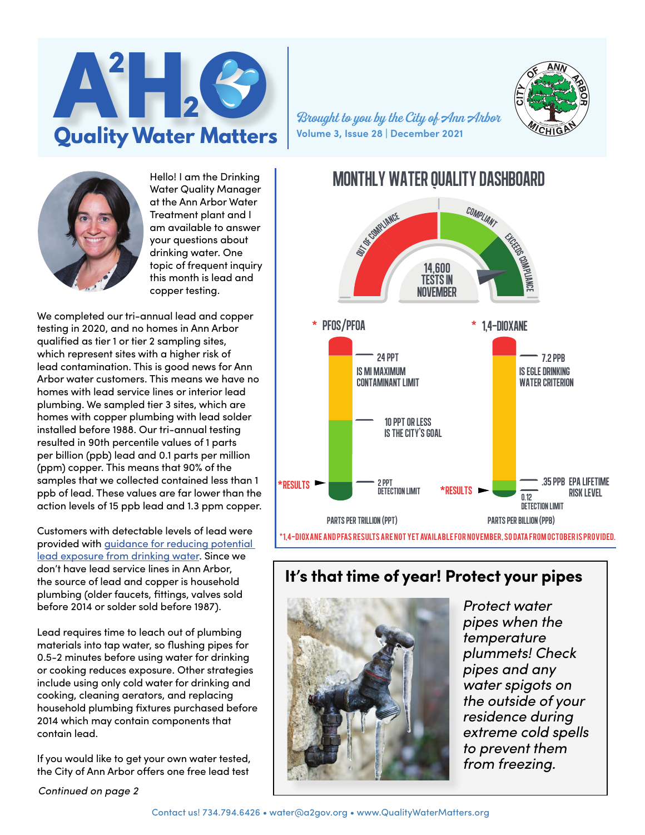

**Volume 3, Issue 28 | December 2021**



Hello! I am the Drinking Water Quality Manager at the Ann Arbor Water Treatment plant and I am available to answer your questions about drinking water. One topic of frequent inquiry this month is lead and copper testing.

We completed our tri-annual lead and copper testing in 2020, and no homes in Ann Arbor qualified as tier 1 or tier 2 sampling sites, which represent sites with a higher risk of lead contamination. This is good news for Ann Arbor water customers. This means we have no homes with lead service lines or interior lead plumbing. We sampled tier 3 sites, which are homes with copper plumbing with lead solder installed before 1988. Our tri-annual testing resulted in 90th percentile values of 1 parts per billion (ppb) lead and 0.1 parts per million (ppm) copper. This means that 90% of the samples that we collected contained less than 1 ppb of lead. These values are far lower than the action levels of 15 ppb lead and 1.3 ppm copper.

Customers with detectable levels of lead were provided with [guidance for reducing potential](https://www.a2gov.org/departments/public-works/PublishingImages/Pages/Ann-Arbor-Water-System-Advisory-Council/egle_document.pdf)  [lead exposure from drinking water](https://www.a2gov.org/departments/public-works/PublishingImages/Pages/Ann-Arbor-Water-System-Advisory-Council/egle_document.pdf). Since we don't have lead service lines in Ann Arbor, the source of lead and copper is household plumbing (older faucets, fittings, valves sold before 2014 or solder sold before 1987).

Lead requires time to leach out of plumbing materials into tap water, so flushing pipes for 0.5-2 minutes before using water for drinking or cooking reduces exposure. Other strategies include using only cold water for drinking and cooking, cleaning aerators, and replacing household plumbing fixtures purchased before 2014 which may contain components that contain lead.

If you would like to get your own water tested, the City of Ann Arbor offers one free lead test

*Continued on page 2*



# **It's that time of year! Protect your pipes**



*Protect water pipes when the temperature plummets! Check pipes and any water spigots on the outside of your residence during extreme cold spells to prevent them from freezing.*